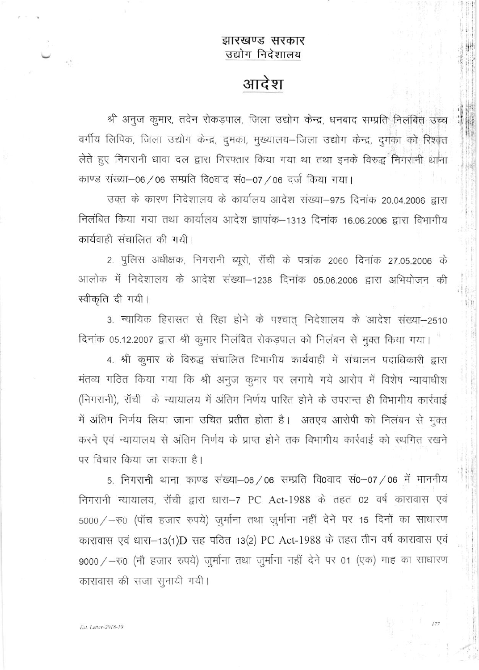## झारखण्ड सरकार उद्योग निदेशालय

## आदेश

श्री अनुज कुमार, तदेन रोकड़पाल, जिला उद्योग केन्द्र, धनबाद सम्प्रति निलंबित उच्च वर्गीय लिपिक, जिला उद्योग केन्द्र, दुमका, मुख्यालय–जिला उद्योग केन्द्र, दुमका को रिश्वत लेते हुए निगरानी धावा दल द्वारा गिरफ्तार किया गया था तथा इनके विरुद्ध निगरानी थाना काण्ड संख्या-06 / 06 सम्प्रति वि0वाद सं0-07 / 06 दर्ज किया गया।

उक्त के कारण निदेशालय के कार्यालय आदेश संख्या-975 दिनांक 20.04.2006 द्वारा निलंबित किया गया तथा कार्यालय आदेश ज्ञापांक-1313 दिनांक 16.06.2006 द्वारा विभागीय कार्यवाही संचालित की गयी।

2. पुलिस अधीक्षक, निगरानी ब्यूरो, रॉची के पत्रांक 2060 दिनांक 27.05.2006 के आलोक में निदेशालय के आदेश संख्या-1238 दिनांक 05.06.2006 द्वारा अभियोजन की स्वीकृति दी गयी।

3. न्यायिक हिरासत से रिहा होने के पश्चात् निदेशालय के आदेश संख्या-2510 दिनांक 05.12.2007 द्वारा श्री कुमार निलंबित रोकड़पाल को निलंबन से मुक्त किया गया।

4. श्री कुमार के विरुद्ध संचालित विभागीय कार्यवाही में संचालन पदाधिकारी द्वारा मंतव्य गठित किया गया कि श्री अनुज कुमार पर लगाये गये आरोप में विशेष न्यायाधीश (निगरानी), राँची के न्यायालय में अंतिम निर्णय पारित होने के उपरान्त ही विभागीय कार्रवाई में अंतिम निर्णय लिया जाना उचित प्रतीत होता है। अतएव आरोपी को निलंबन से मुक्त करने एवं न्यायालय से अंतिम निर्णय के प्राप्त होने तक विभागीय कार्रवाई को स्थगित रखने पर विचार किया जा सकता है।

5. निगरानी थाना काण्ड संख्या-06/06 सम्प्रति वि0वाद सं0-07/06 में माननीय निगरानी न्यायालय, रॉची द्वारा धारा-7 PC Act-1988 के तहत 02 वर्ष कारावास एवं 5000 / - रु0 (पॉच हजार रुपये) जुर्माना तथा जुर्माना नहीं देने पर 15 दिनों का साधारण कारावास एवं धारा-13(1)D सह पठित 13(2) PC Act-1988 के तहत तीन वर्ष कारावास एवं 9000 / - रु0 (नौ हजार रुपये) जुर्माना तथा जुर्माना नहीं देने पर 01 (एक) माह का साधारण कारावास की सजा सुनायी गयी।

 $\epsilon_{\rm e}^{-1}$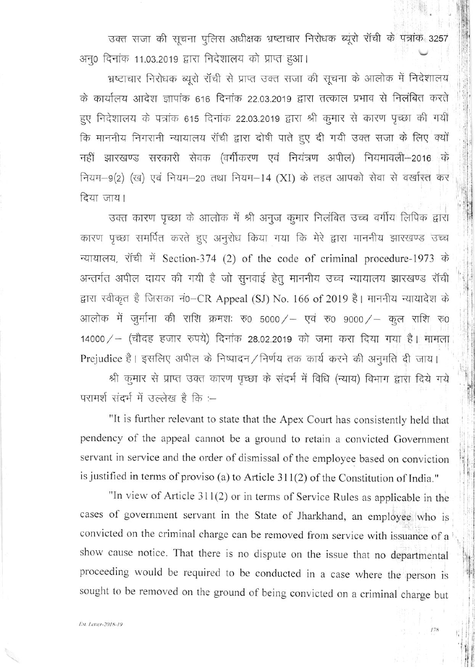उक्त सजा की सूचना पुलिस अधीक्षक भ्रष्टाचार निरोधक ब्यूरो रॉची के पत्रांक 3257 अनू0 दिनांक 11.03.2019 द्वारा निदेशालय को प्राप्त हुआ।

भ्रष्टाचार निरोधक ब्यूरो रॉची से प्राप्त उक्त सजा की सूचना के आलोक में निदेशालय के कार्यालय आदेश ज्ञापांक 616 दिनांक 22.03.2019 द्वारा तत्काल प्रभाव से निलंबित करते हुए निदेशालय के पत्रांक 615 दिनांक 22.03.2019 द्वारा श्री कुमार से कारण पृच्छा की गयी कि माननीय निगरानी न्यायालय रॉची द्वारा दोषी पाते हुए दी गयी उक्त सजा के लिए क्यों नहीं झारखण्ड सरकारी सेवक (वर्गीकरण एवं नियंत्रण अपील) नियमावली-2016 के नियम-9(2) (ख) एवं नियम-20 तथा नियम-14 (XI) के तहत आपको सेवा से वर्खास्त कर दिया जाय।

उक्त कारण पृच्छा के आलोक में श्री अनुज कुमार निलंबित उच्च वर्गीय लिपिक द्वारा कारण पृच्छा समर्पित करते हुए अनुरोध किया गया कि मेरे द्वारा माननीय झारखण्ड उच्च न्यायालय, रॉची में Section-374 (2) of the code of criminal procedure-1973 के अन्तर्गत अपील दायर की गयी है जो सुनवाई हेतू माननीय उच्च न्यायालय झारखण्ड रॉची द्वारा स्वीकृत है जिसका नं0-CR Appeal (SJ) No. 166 of 2019 है। माननीय न्यायादेश के आलोक में जुर्माना की राशि क्रमशः रु0 5000/ - एवं रु0 9000/ - कुल राशि रु0 14000 / - (चौदह हजार रुपये) दिनांक 28.02.2019 को जमा करा दिया गया है। मामला Prejudice है। इसलिए अपील के निष्पादन / निर्णय तक कार्य करने की अनुमति दी जाय।

श्री कूमार से प्राप्त उक्त कारण पृच्छा के संदर्भ में विधि (न्याय) विभाग द्वारा दिये गये परामर्श संदर्भ में उल्लेख है कि :--

"It is further relevant to state that the Apex Court has consistently held that pendency of the appeal cannot be a ground to retain a convicted Government servant in service and the order of dismissal of the employee based on conviction is justified in terms of proviso (a) to Article 311(2) of the Constitution of India."

"In view of Article 311(2) or in terms of Service Rules as applicable in the cases of government servant in the State of Jharkhand, an employee who is convicted on the criminal charge can be removed from service with issuance of a show cause notice. That there is no dispute on the issue that no departmental proceeding would be required to be conducted in a case where the person is sought to be removed on the ground of being convicted on a criminal charge but

178